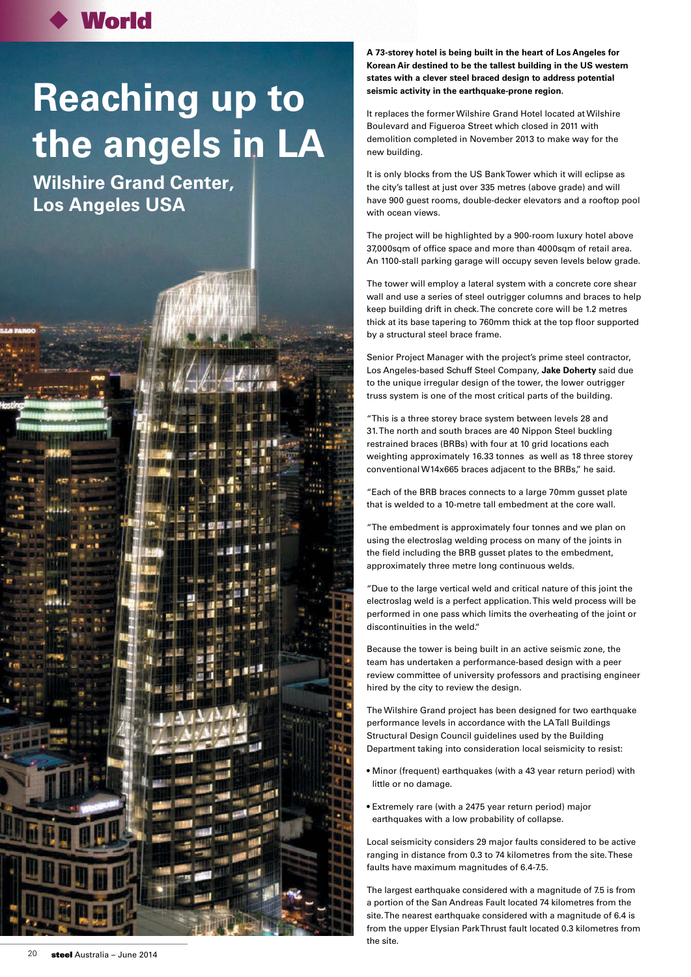## **World**

## **Reaching up to the angels in LA**

**Wilshire Grand Center, Los Angeles USA**

**A 73-storey hotel is being built in the heart of Los Angeles for Korean Air destined to be the tallest building in the US western states with a clever steel braced design to address potential seismic activity in the earthquake-prone region.**

It replaces the former Wilshire Grand Hotel located at Wilshire Boulevard and Figueroa Street which closed in 2011 with demolition completed in November 2013 to make way for the new building.

It is only blocks from the US Bank Tower which it will eclipse as the city's tallest at just over 335 metres (above grade) and will have 900 guest rooms, double-decker elevators and a rooftop pool with ocean views.

The project will be highlighted by a 900-room luxury hotel above 37,000sqm of office space and more than 4000sqm of retail area. An 1100-stall parking garage will occupy seven levels below grade.

The tower will employ a lateral system with a concrete core shear wall and use a series of steel outrigger columns and braces to help keep building drift in check. The concrete core will be 1.2 metres thick at its base tapering to 760mm thick at the top floor supported by a structural steel brace frame.

Senior Project Manager with the project's prime steel contractor, Los Angeles-based Schuff Steel Company, **Jake Doherty** said due to the unique irregular design of the tower, the lower outrigger truss system is one of the most critical parts of the building.

"This is a three storey brace system between levels 28 and 31. The north and south braces are 40 Nippon Steel buckling restrained braces (BRBs) with four at 10 grid locations each weighting approximately 16.33 tonnes as well as 18 three storey conventional W14x665 braces adjacent to the BRBs," he said.

"Each of the BRB braces connects to a large 70mm gusset plate that is welded to a 10-metre tall embedment at the core wall.

"The embedment is approximately four tonnes and we plan on using the electroslag welding process on many of the joints in the field including the BRB gusset plates to the embedment, approximately three metre long continuous welds.

"Due to the large vertical weld and critical nature of this joint the electroslag weld is a perfect application. This weld process will be performed in one pass which limits the overheating of the joint or discontinuities in the weld."

Because the tower is being built in an active seismic zone, the team has undertaken a performance-based design with a peer review committee of university professors and practising engineer hired by the city to review the design.

The Wilshire Grand project has been designed for two earthquake performance levels in accordance with the LA Tall Buildings Structural Design Council guidelines used by the Building Department taking into consideration local seismicity to resist:

- Minor (frequent) earthquakes (with a 43 year return period) with little or no damage.
- Extremely rare (with a 2475 year return period) major earthquakes with a low probability of collapse.

Local seismicity considers 29 major faults considered to be active ranging in distance from 0.3 to 74 kilometres from the site. These faults have maximum magnitudes of 6.4-7.5.

The largest earthquake considered with a magnitude of 7.5 is from a portion of the San Andreas Fault located 74 kilometres from the site. The nearest earthquake considered with a magnitude of 6.4 is from the upper Elysian Park Thrust fault located 0.3 kilometres from the site.